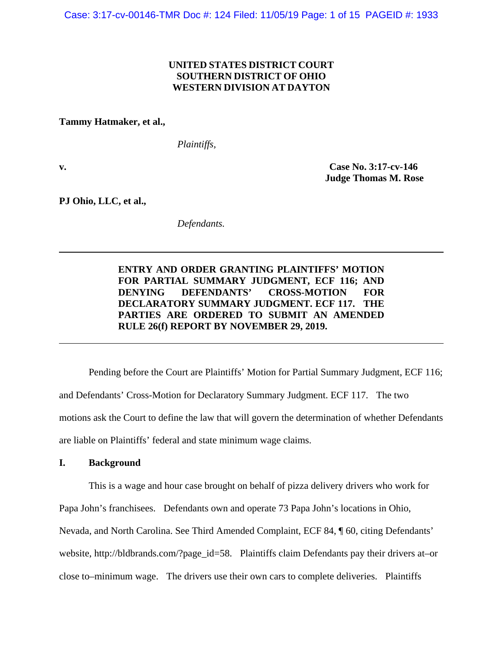# **UNITED STATES DISTRICT COURT SOUTHERN DISTRICT OF OHIO WESTERN DIVISION AT DAYTON**

# **Tammy Hatmaker, et al.,**

*Plaintiffs,*

**v. Case No. 3:17-cv-146 Judge Thomas M. Rose** 

**PJ Ohio, LLC, et al.,** 

*Defendants.*

# **ENTRY AND ORDER GRANTING PLAINTIFFS' MOTION FOR PARTIAL SUMMARY JUDGMENT, ECF 116; AND DENYING DEFENDANTS' CROSS-MOTION FOR DECLARATORY SUMMARY JUDGMENT. ECF 117. THE PARTIES ARE ORDERED TO SUBMIT AN AMENDED RULE 26(f) REPORT BY NOVEMBER 29, 2019.**

Pending before the Court are Plaintiffs' Motion for Partial Summary Judgment, ECF 116; and Defendants' Cross-Motion for Declaratory Summary Judgment. ECF 117. The two motions ask the Court to define the law that will govern the determination of whether Defendants are liable on Plaintiffs' federal and state minimum wage claims.

# **I. Background**

This is a wage and hour case brought on behalf of pizza delivery drivers who work for

Papa John's franchisees. Defendants own and operate 73 Papa John's locations in Ohio,

Nevada, and North Carolina. See Third Amended Complaint, ECF 84, ¶ 60, citing Defendants'

website, http://bldbrands.com/?page\_id=58. Plaintiffs claim Defendants pay their drivers at–or

close to–minimum wage. The drivers use their own cars to complete deliveries. Plaintiffs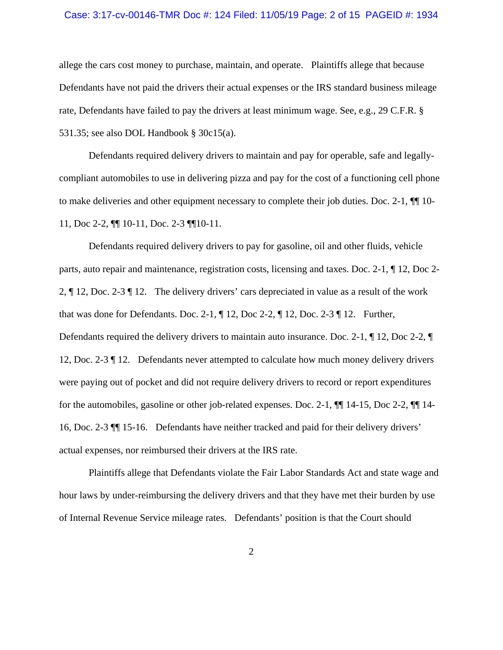#### Case: 3:17-cv-00146-TMR Doc #: 124 Filed: 11/05/19 Page: 2 of 15 PAGEID #: 1934

allege the cars cost money to purchase, maintain, and operate. Plaintiffs allege that because Defendants have not paid the drivers their actual expenses or the IRS standard business mileage rate, Defendants have failed to pay the drivers at least minimum wage. See, e.g., 29 C.F.R. § 531.35; see also DOL Handbook § 30c15(a).

 Defendants required delivery drivers to maintain and pay for operable, safe and legallycompliant automobiles to use in delivering pizza and pay for the cost of a functioning cell phone to make deliveries and other equipment necessary to complete their job duties. Doc. 2-1,  $\P$  10-11, Doc 2-2, ¶¶ 10-11, Doc. 2-3 ¶¶10-11.

 Defendants required delivery drivers to pay for gasoline, oil and other fluids, vehicle parts, auto repair and maintenance, registration costs, licensing and taxes. Doc. 2-1, ¶ 12, Doc 2- 2, ¶ 12, Doc. 2-3 ¶ 12. The delivery drivers' cars depreciated in value as a result of the work that was done for Defendants. Doc. 2-1,  $\P$  12, Doc 2-2,  $\P$  12, Doc. 2-3  $\P$  12. Further, Defendants required the delivery drivers to maintain auto insurance. Doc. 2-1, ¶ 12, Doc 2-2, ¶ 12, Doc. 2-3 ¶ 12. Defendants never attempted to calculate how much money delivery drivers were paying out of pocket and did not require delivery drivers to record or report expenditures for the automobiles, gasoline or other job-related expenses. Doc. 2-1, ¶¶ 14-15, Doc 2-2, ¶¶ 14- 16, Doc. 2-3 ¶¶ 15-16. Defendants have neither tracked and paid for their delivery drivers' actual expenses, nor reimbursed their drivers at the IRS rate.

 Plaintiffs allege that Defendants violate the Fair Labor Standards Act and state wage and hour laws by under-reimbursing the delivery drivers and that they have met their burden by use of Internal Revenue Service mileage rates. Defendants' position is that the Court should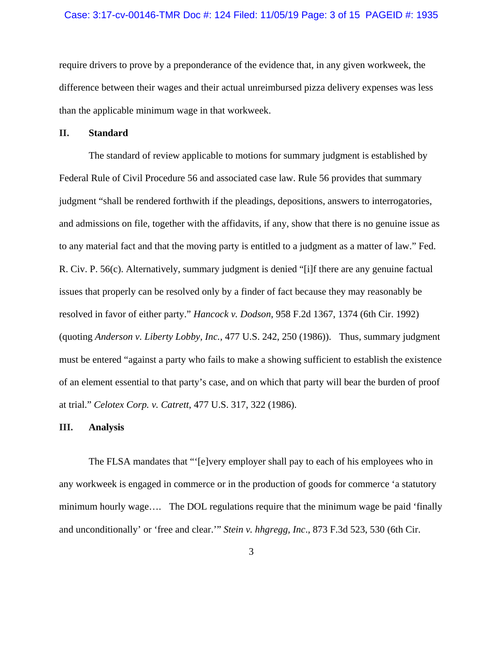#### Case: 3:17-cv-00146-TMR Doc #: 124 Filed: 11/05/19 Page: 3 of 15 PAGEID #: 1935

require drivers to prove by a preponderance of the evidence that, in any given workweek, the difference between their wages and their actual unreimbursed pizza delivery expenses was less than the applicable minimum wage in that workweek.

#### **II. Standard**

 The standard of review applicable to motions for summary judgment is established by Federal Rule of Civil Procedure 56 and associated case law. Rule 56 provides that summary judgment "shall be rendered forthwith if the pleadings, depositions, answers to interrogatories, and admissions on file, together with the affidavits, if any, show that there is no genuine issue as to any material fact and that the moving party is entitled to a judgment as a matter of law." Fed. R. Civ. P. 56(c). Alternatively, summary judgment is denied "[i]f there are any genuine factual issues that properly can be resolved only by a finder of fact because they may reasonably be resolved in favor of either party." *Hancock v. Dodson*, 958 F.2d 1367, 1374 (6th Cir. 1992) (quoting *Anderson v. Liberty Lobby, Inc.*, 477 U.S. 242, 250 (1986)). Thus, summary judgment must be entered "against a party who fails to make a showing sufficient to establish the existence of an element essential to that party's case, and on which that party will bear the burden of proof at trial." *Celotex Corp. v. Catrett*, 477 U.S. 317, 322 (1986).

# **III. Analysis**

 The FLSA mandates that "'[e]very employer shall pay to each of his employees who in any workweek is engaged in commerce or in the production of goods for commerce 'a statutory minimum hourly wage…. The DOL regulations require that the minimum wage be paid 'finally and unconditionally' or 'free and clear.'" *Stein v. hhgregg, Inc*., 873 F.3d 523, 530 (6th Cir.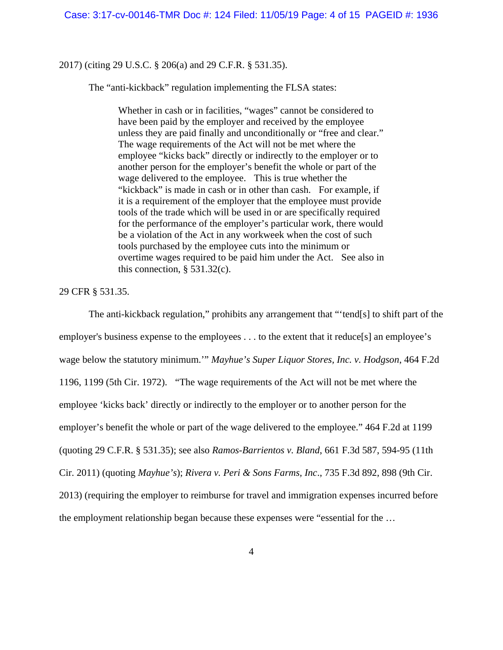2017) (citing 29 U.S.C. § 206(a) and 29 C.F.R. § 531.35).

The "anti-kickback" regulation implementing the FLSA states:

Whether in cash or in facilities, "wages" cannot be considered to have been paid by the employer and received by the employee unless they are paid finally and unconditionally or "free and clear." The wage requirements of the Act will not be met where the employee "kicks back" directly or indirectly to the employer or to another person for the employer's benefit the whole or part of the wage delivered to the employee. This is true whether the "kickback" is made in cash or in other than cash. For example, if it is a requirement of the employer that the employee must provide tools of the trade which will be used in or are specifically required for the performance of the employer's particular work, there would be a violation of the Act in any workweek when the cost of such tools purchased by the employee cuts into the minimum or overtime wages required to be paid him under the Act. See also in this connection,  $\S$  531.32(c).

29 CFR § 531.35.

 The anti-kickback regulation," prohibits any arrangement that "'tend[s] to shift part of the employer's business expense to the employees . . . to the extent that it reduce[s] an employee's wage below the statutory minimum.'" *Mayhue's Super Liquor Stores, Inc. v. Hodgson*, 464 F.2d 1196, 1199 (5th Cir. 1972). "The wage requirements of the Act will not be met where the employee 'kicks back' directly or indirectly to the employer or to another person for the employer's benefit the whole or part of the wage delivered to the employee." 464 F.2d at 1199 (quoting 29 C.F.R. § 531.35); see also *Ramos-Barrientos v. Bland*, 661 F.3d 587, 594-95 (11th Cir. 2011) (quoting *Mayhue's*); *Rivera v. Peri & Sons Farms, Inc*., 735 F.3d 892, 898 (9th Cir. 2013) (requiring the employer to reimburse for travel and immigration expenses incurred before the employment relationship began because these expenses were "essential for the …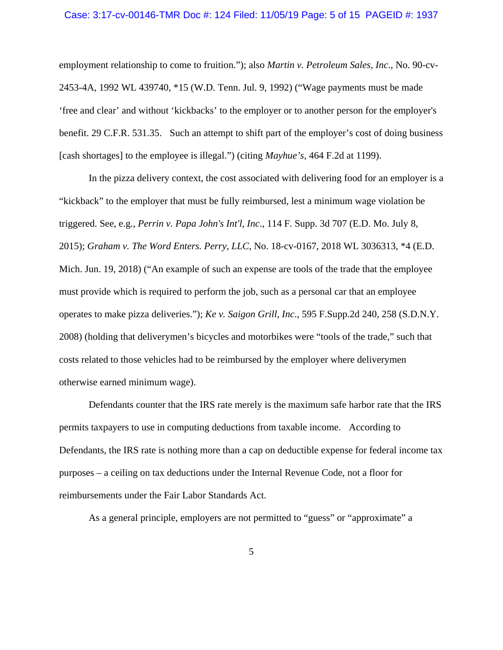#### Case: 3:17-cv-00146-TMR Doc #: 124 Filed: 11/05/19 Page: 5 of 15 PAGEID #: 1937

employment relationship to come to fruition."); also *Martin v. Petroleum Sales, Inc*., No. 90-cv-2453-4A, 1992 WL 439740, \*15 (W.D. Tenn. Jul. 9, 1992) ("Wage payments must be made 'free and clear' and without 'kickbacks' to the employer or to another person for the employer's benefit. 29 C.F.R. 531.35. Such an attempt to shift part of the employer's cost of doing business [cash shortages] to the employee is illegal.") (citing *Mayhue's*, 464 F.2d at 1199).

 In the pizza delivery context, the cost associated with delivering food for an employer is a "kickback" to the employer that must be fully reimbursed, lest a minimum wage violation be triggered. See, e.g., *Perrin v. Papa John's Int'l, Inc*., 114 F. Supp. 3d 707 (E.D. Mo. July 8, 2015); *Graham v. The Word Enters. Perry, LLC*, No. 18-cv-0167, 2018 WL 3036313, \*4 (E.D. Mich. Jun. 19, 2018) ("An example of such an expense are tools of the trade that the employee must provide which is required to perform the job, such as a personal car that an employee operates to make pizza deliveries."); *Ke v. Saigon Grill, Inc*., 595 F.Supp.2d 240, 258 (S.D.N.Y. 2008) (holding that deliverymen's bicycles and motorbikes were "tools of the trade," such that costs related to those vehicles had to be reimbursed by the employer where deliverymen otherwise earned minimum wage).

Defendants counter that the IRS rate merely is the maximum safe harbor rate that the IRS permits taxpayers to use in computing deductions from taxable income. According to Defendants, the IRS rate is nothing more than a cap on deductible expense for federal income tax purposes – a ceiling on tax deductions under the Internal Revenue Code, not a floor for reimbursements under the Fair Labor Standards Act.

As a general principle, employers are not permitted to "guess" or "approximate" a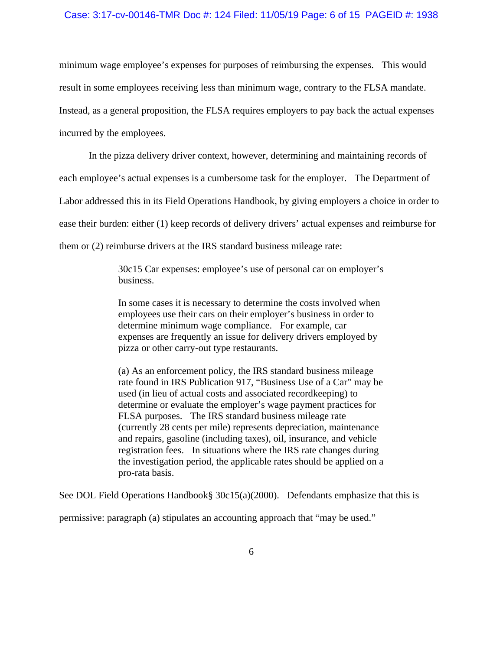# Case: 3:17-cv-00146-TMR Doc #: 124 Filed: 11/05/19 Page: 6 of 15 PAGEID #: 1938

minimum wage employee's expenses for purposes of reimbursing the expenses. This would result in some employees receiving less than minimum wage, contrary to the FLSA mandate. Instead, as a general proposition, the FLSA requires employers to pay back the actual expenses incurred by the employees.

 In the pizza delivery driver context, however, determining and maintaining records of each employee's actual expenses is a cumbersome task for the employer. The Department of Labor addressed this in its Field Operations Handbook, by giving employers a choice in order to ease their burden: either (1) keep records of delivery drivers' actual expenses and reimburse for them or (2) reimburse drivers at the IRS standard business mileage rate:

> 30c15 Car expenses: employee's use of personal car on employer's business.

In some cases it is necessary to determine the costs involved when employees use their cars on their employer's business in order to determine minimum wage compliance. For example, car expenses are frequently an issue for delivery drivers employed by pizza or other carry-out type restaurants.

(a) As an enforcement policy, the IRS standard business mileage rate found in IRS Publication 917, "Business Use of a Car" may be used (in lieu of actual costs and associated recordkeeping) to determine or evaluate the employer's wage payment practices for FLSA purposes. The IRS standard business mileage rate (currently 28 cents per mile) represents depreciation, maintenance and repairs, gasoline (including taxes), oil, insurance, and vehicle registration fees. In situations where the IRS rate changes during the investigation period, the applicable rates should be applied on a pro-rata basis.

See DOL Field Operations Handbook§ 30c15(a)(2000). Defendants emphasize that this is

permissive: paragraph (a) stipulates an accounting approach that "may be used."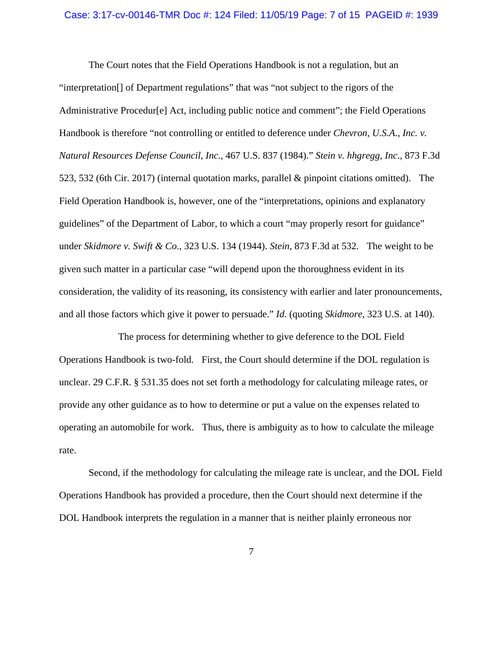#### Case: 3:17-cv-00146-TMR Doc #: 124 Filed: 11/05/19 Page: 7 of 15 PAGEID #: 1939

 The Court notes that the Field Operations Handbook is not a regulation, but an "interpretation[] of Department regulations" that was "not subject to the rigors of the Administrative Procedur[e] Act, including public notice and comment"; the Field Operations Handbook is therefore "not controlling or entitled to deference under *Chevron, U.S.A., Inc. v. Natural Resources Defense Council, Inc*., 467 U.S. 837 (1984)." *Stein v. hhgregg, Inc*., 873 F.3d 523, 532 (6th Cir. 2017) (internal quotation marks, parallel & pinpoint citations omitted). The Field Operation Handbook is, however, one of the "interpretations, opinions and explanatory guidelines" of the Department of Labor, to which a court "may properly resort for guidance" under *Skidmore v. Swift & Co*., 323 U.S. 134 (1944). *Stein*, 873 F.3d at 532. The weight to be given such matter in a particular case "will depend upon the thoroughness evident in its consideration, the validity of its reasoning, its consistency with earlier and later pronouncements, and all those factors which give it power to persuade." *Id*. (quoting *Skidmore*, 323 U.S. at 140).

 The process for determining whether to give deference to the DOL Field Operations Handbook is two-fold. First, the Court should determine if the DOL regulation is unclear. 29 C.F.R. § 531.35 does not set forth a methodology for calculating mileage rates, or provide any other guidance as to how to determine or put a value on the expenses related to operating an automobile for work. Thus, there is ambiguity as to how to calculate the mileage rate.

 Second, if the methodology for calculating the mileage rate is unclear, and the DOL Field Operations Handbook has provided a procedure, then the Court should next determine if the DOL Handbook interprets the regulation in a manner that is neither plainly erroneous nor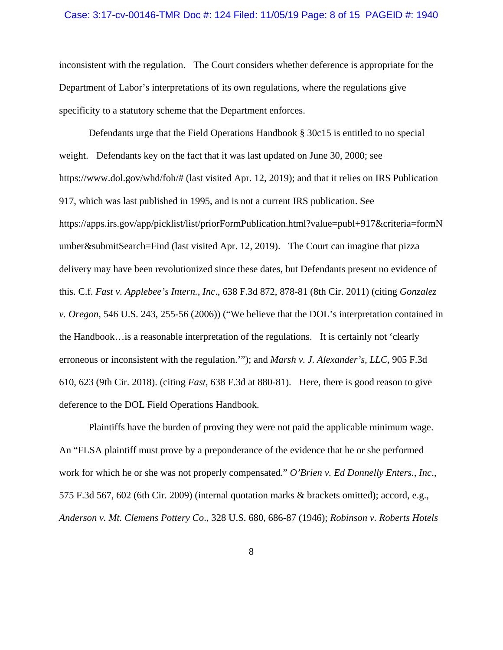# Case: 3:17-cv-00146-TMR Doc #: 124 Filed: 11/05/19 Page: 8 of 15 PAGEID #: 1940

inconsistent with the regulation. The Court considers whether deference is appropriate for the Department of Labor's interpretations of its own regulations, where the regulations give specificity to a statutory scheme that the Department enforces.

 Defendants urge that the Field Operations Handbook § 30c15 is entitled to no special weight. Defendants key on the fact that it was last updated on June 30, 2000; see https://www.dol.gov/whd/foh/# (last visited Apr. 12, 2019); and that it relies on IRS Publication 917, which was last published in 1995, and is not a current IRS publication. See https://apps.irs.gov/app/picklist/list/priorFormPublication.html?value=publ+917&criteria=formN umber&submitSearch=Find (last visited Apr. 12, 2019). The Court can imagine that pizza delivery may have been revolutionized since these dates, but Defendants present no evidence of this. C.f. *Fast v. Applebee's Intern., Inc*., 638 F.3d 872, 878-81 (8th Cir. 2011) (citing *Gonzalez v. Oregon*, 546 U.S. 243, 255-56 (2006)) ("We believe that the DOL's interpretation contained in the Handbook…is a reasonable interpretation of the regulations. It is certainly not 'clearly erroneous or inconsistent with the regulation.'"); and *Marsh v. J. Alexander's, LLC*, 905 F.3d 610, 623 (9th Cir. 2018). (citing *Fast*, 638 F.3d at 880-81). Here, there is good reason to give deference to the DOL Field Operations Handbook.

 Plaintiffs have the burden of proving they were not paid the applicable minimum wage. An "FLSA plaintiff must prove by a preponderance of the evidence that he or she performed work for which he or she was not properly compensated." *O'Brien v. Ed Donnelly Enters., Inc*., 575 F.3d 567, 602 (6th Cir. 2009) (internal quotation marks & brackets omitted); accord, e.g., *Anderson v. Mt. Clemens Pottery Co*., 328 U.S. 680, 686-87 (1946); *Robinson v. Roberts Hotels*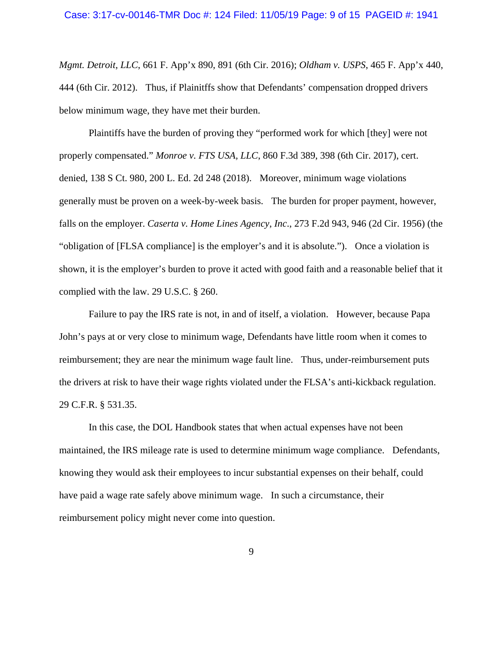*Mgmt. Detroit, LLC*, 661 F. App'x 890, 891 (6th Cir. 2016); *Oldham v. USPS*, 465 F. App'x 440, 444 (6th Cir. 2012). Thus, if Plainitffs show that Defendants' compensation dropped drivers below minimum wage, they have met their burden.

 Plaintiffs have the burden of proving they "performed work for which [they] were not properly compensated." *Monroe v. FTS USA, LLC*, 860 F.3d 389, 398 (6th Cir. 2017), cert. denied, 138 S Ct. 980, 200 L. Ed. 2d 248 (2018). Moreover, minimum wage violations generally must be proven on a week-by-week basis. The burden for proper payment, however, falls on the employer. *Caserta v. Home Lines Agency*, *Inc*., 273 F.2d 943, 946 (2d Cir. 1956) (the "obligation of [FLSA compliance] is the employer's and it is absolute."). Once a violation is shown, it is the employer's burden to prove it acted with good faith and a reasonable belief that it complied with the law. 29 U.S.C. § 260.

 Failure to pay the IRS rate is not, in and of itself, a violation. However, because Papa John's pays at or very close to minimum wage, Defendants have little room when it comes to reimbursement; they are near the minimum wage fault line. Thus, under-reimbursement puts the drivers at risk to have their wage rights violated under the FLSA's anti-kickback regulation. 29 C.F.R. § 531.35.

 In this case, the DOL Handbook states that when actual expenses have not been maintained, the IRS mileage rate is used to determine minimum wage compliance. Defendants, knowing they would ask their employees to incur substantial expenses on their behalf, could have paid a wage rate safely above minimum wage. In such a circumstance, their reimbursement policy might never come into question.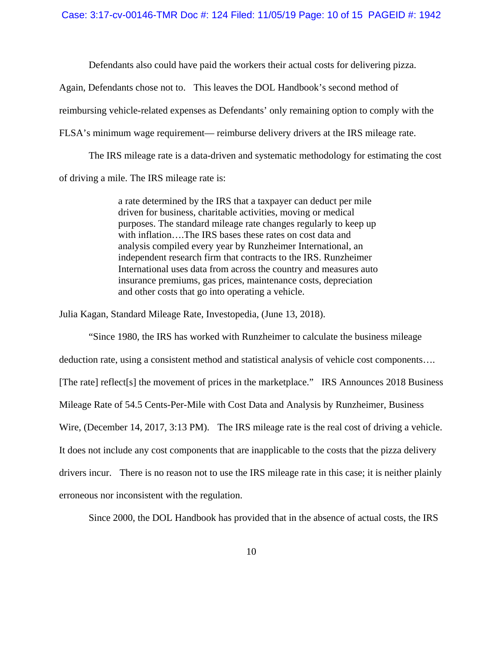#### Case: 3:17-cv-00146-TMR Doc #: 124 Filed: 11/05/19 Page: 10 of 15 PAGEID #: 1942

Defendants also could have paid the workers their actual costs for delivering pizza.

Again, Defendants chose not to. This leaves the DOL Handbook's second method of

reimbursing vehicle-related expenses as Defendants' only remaining option to comply with the

FLSA's minimum wage requirement— reimburse delivery drivers at the IRS mileage rate.

 The IRS mileage rate is a data-driven and systematic methodology for estimating the cost of driving a mile. The IRS mileage rate is:

> a rate determined by the IRS that a taxpayer can deduct per mile driven for business, charitable activities, moving or medical purposes. The standard mileage rate changes regularly to keep up with inflation….The IRS bases these rates on cost data and analysis compiled every year by Runzheimer International, an independent research firm that contracts to the IRS. Runzheimer International uses data from across the country and measures auto insurance premiums, gas prices, maintenance costs, depreciation and other costs that go into operating a vehicle.

Julia Kagan, Standard Mileage Rate, Investopedia, (June 13, 2018).

 "Since 1980, the IRS has worked with Runzheimer to calculate the business mileage deduction rate, using a consistent method and statistical analysis of vehicle cost components…. [The rate] reflect[s] the movement of prices in the marketplace." IRS Announces 2018 Business Mileage Rate of 54.5 Cents-Per-Mile with Cost Data and Analysis by Runzheimer, Business Wire, (December 14, 2017, 3:13 PM). The IRS mileage rate is the real cost of driving a vehicle. It does not include any cost components that are inapplicable to the costs that the pizza delivery drivers incur. There is no reason not to use the IRS mileage rate in this case; it is neither plainly erroneous nor inconsistent with the regulation.

Since 2000, the DOL Handbook has provided that in the absence of actual costs, the IRS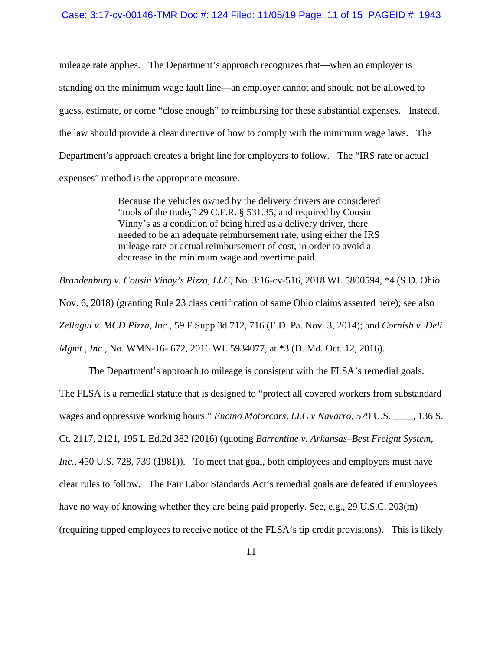mileage rate applies. The Department's approach recognizes that—when an employer is standing on the minimum wage fault line—an employer cannot and should not be allowed to guess, estimate, or come "close enough" to reimbursing for these substantial expenses. Instead, the law should provide a clear directive of how to comply with the minimum wage laws. The Department's approach creates a bright line for employers to follow. The "IRS rate or actual expenses" method is the appropriate measure.

> Because the vehicles owned by the delivery drivers are considered "tools of the trade," 29 C.F.R. § 531.35, and required by Cousin Vinny's as a condition of being hired as a delivery driver, there needed to be an adequate reimbursement rate, using either the IRS mileage rate or actual reimbursement of cost, in order to avoid a decrease in the minimum wage and overtime paid.

*Brandenburg v. Cousin Vinny's Pizza, LLC*, No. 3:16-cv-516, 2018 WL 5800594, \*4 (S.D. Ohio Nov. 6, 2018) (granting Rule 23 class certification of same Ohio claims asserted here); see also *Zellagui v. MCD Pizza, Inc*., 59 F.Supp.3d 712, 716 (E.D. Pa. Nov. 3, 2014); and *Cornish v. Deli Mgmt., Inc.*, No. WMN-16- 672, 2016 WL 5934077, at \*3 (D. Md. Oct. 12, 2016).

 The Department's approach to mileage is consistent with the FLSA's remedial goals. The FLSA is a remedial statute that is designed to "protect all covered workers from substandard wages and oppressive working hours." *Encino Motorcars, LLC v Navarro*, 579 U.S. \_\_\_\_, 136 S. Ct. 2117, 2121, 195 L.Ed.2d 382 (2016) (quoting *Barrentine v. Arkansas–Best Freight System, Inc.*, 450 U.S. 728, 739 (1981)). To meet that goal, both employees and employers must have clear rules to follow. The Fair Labor Standards Act's remedial goals are defeated if employees have no way of knowing whether they are being paid properly. See, e.g., 29 U.S.C. 203(m) (requiring tipped employees to receive notice of the FLSA's tip credit provisions). This is likely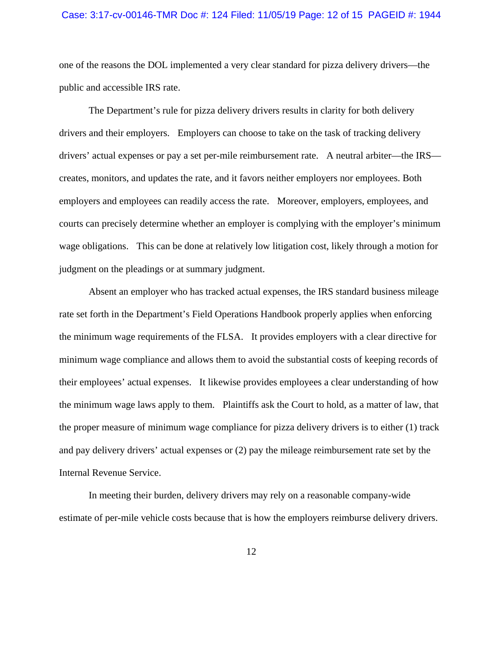#### Case: 3:17-cv-00146-TMR Doc #: 124 Filed: 11/05/19 Page: 12 of 15 PAGEID #: 1944

one of the reasons the DOL implemented a very clear standard for pizza delivery drivers—the public and accessible IRS rate.

 The Department's rule for pizza delivery drivers results in clarity for both delivery drivers and their employers. Employers can choose to take on the task of tracking delivery drivers' actual expenses or pay a set per-mile reimbursement rate. A neutral arbiter—the IRS creates, monitors, and updates the rate, and it favors neither employers nor employees. Both employers and employees can readily access the rate. Moreover, employers, employees, and courts can precisely determine whether an employer is complying with the employer's minimum wage obligations. This can be done at relatively low litigation cost, likely through a motion for judgment on the pleadings or at summary judgment.

 Absent an employer who has tracked actual expenses, the IRS standard business mileage rate set forth in the Department's Field Operations Handbook properly applies when enforcing the minimum wage requirements of the FLSA. It provides employers with a clear directive for minimum wage compliance and allows them to avoid the substantial costs of keeping records of their employees' actual expenses. It likewise provides employees a clear understanding of how the minimum wage laws apply to them. Plaintiffs ask the Court to hold, as a matter of law, that the proper measure of minimum wage compliance for pizza delivery drivers is to either (1) track and pay delivery drivers' actual expenses or (2) pay the mileage reimbursement rate set by the Internal Revenue Service.

 In meeting their burden, delivery drivers may rely on a reasonable company-wide estimate of per-mile vehicle costs because that is how the employers reimburse delivery drivers.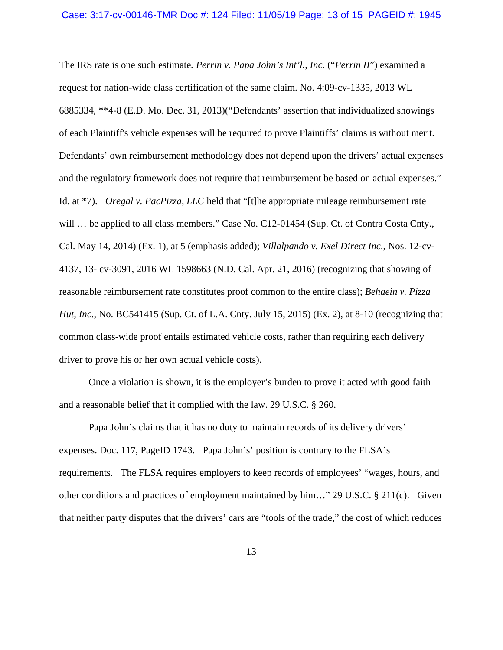The IRS rate is one such estimate*. Perrin v. Papa John's Int'l., Inc.* ("*Perrin II*") examined a request for nation-wide class certification of the same claim. No. 4:09-cv-1335, 2013 WL 6885334, \*\*4-8 (E.D. Mo. Dec. 31, 2013)("Defendants' assertion that individualized showings of each Plaintiff's vehicle expenses will be required to prove Plaintiffs' claims is without merit. Defendants' own reimbursement methodology does not depend upon the drivers' actual expenses and the regulatory framework does not require that reimbursement be based on actual expenses." Id. at \*7). *Oregal v. PacPizza, LLC* held that "[t]he appropriate mileage reimbursement rate will ... be applied to all class members." Case No. C12-01454 (Sup. Ct. of Contra Costa Cnty., Cal. May 14, 2014) (Ex. 1), at 5 (emphasis added); *Villalpando v. Exel Direct Inc*., Nos. 12-cv-4137, 13- cv-3091, 2016 WL 1598663 (N.D. Cal. Apr. 21, 2016) (recognizing that showing of reasonable reimbursement rate constitutes proof common to the entire class); *Behaein v. Pizza Hut, Inc*., No. BC541415 (Sup. Ct. of L.A. Cnty. July 15, 2015) (Ex. 2), at 8-10 (recognizing that common class-wide proof entails estimated vehicle costs, rather than requiring each delivery driver to prove his or her own actual vehicle costs).

 Once a violation is shown, it is the employer's burden to prove it acted with good faith and a reasonable belief that it complied with the law. 29 U.S.C. § 260.

 Papa John's claims that it has no duty to maintain records of its delivery drivers' expenses. Doc. 117, PageID 1743. Papa John's' position is contrary to the FLSA's requirements. The FLSA requires employers to keep records of employees' "wages, hours, and other conditions and practices of employment maintained by him…" 29 U.S.C. § 211(c). Given that neither party disputes that the drivers' cars are "tools of the trade," the cost of which reduces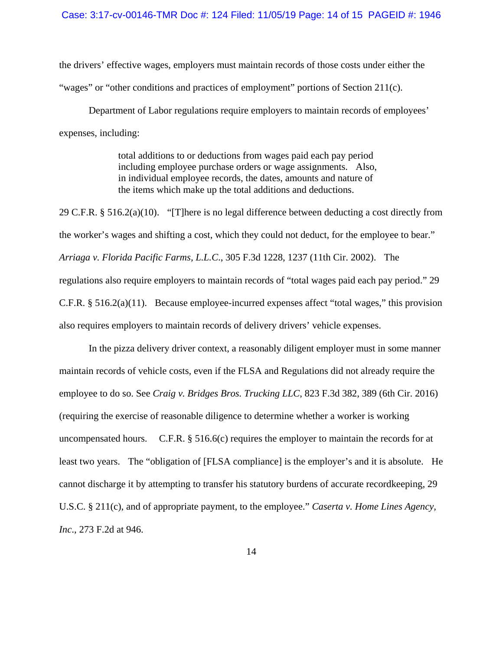#### Case: 3:17-cv-00146-TMR Doc #: 124 Filed: 11/05/19 Page: 14 of 15 PAGEID #: 1946

the drivers' effective wages, employers must maintain records of those costs under either the "wages" or "other conditions and practices of employment" portions of Section 211(c).

 Department of Labor regulations require employers to maintain records of employees' expenses, including:

> total additions to or deductions from wages paid each pay period including employee purchase orders or wage assignments. Also, in individual employee records, the dates, amounts and nature of the items which make up the total additions and deductions.

29 C.F.R. § 516.2(a)(10). "[T]here is no legal difference between deducting a cost directly from the worker's wages and shifting a cost, which they could not deduct, for the employee to bear." *Arriaga v. Florida Pacific Farms, L.L.C*., 305 F.3d 1228, 1237 (11th Cir. 2002). The regulations also require employers to maintain records of "total wages paid each pay period." 29 C.F.R. § 516.2(a)(11). Because employee-incurred expenses affect "total wages," this provision also requires employers to maintain records of delivery drivers' vehicle expenses.

 In the pizza delivery driver context, a reasonably diligent employer must in some manner maintain records of vehicle costs, even if the FLSA and Regulations did not already require the employee to do so. See *Craig v. Bridges Bros. Trucking LLC*, 823 F.3d 382, 389 (6th Cir. 2016) (requiring the exercise of reasonable diligence to determine whether a worker is working uncompensated hours. C.F.R. § 516.6(c) requires the employer to maintain the records for at least two years. The "obligation of [FLSA compliance] is the employer's and it is absolute. He cannot discharge it by attempting to transfer his statutory burdens of accurate recordkeeping, 29 U.S.C. § 211(c), and of appropriate payment, to the employee." *Caserta v. Home Lines Agency, Inc*., 273 F.2d at 946.